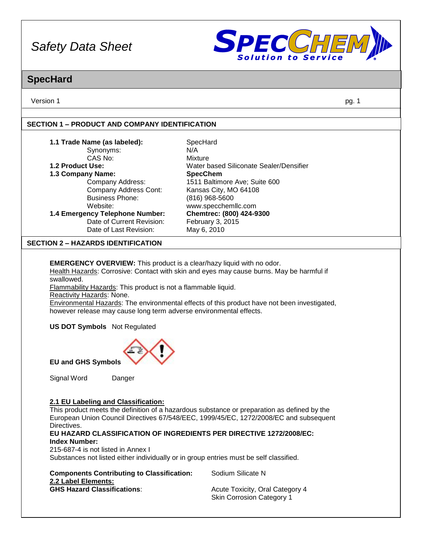

### **SpecHard**

Version 1 pg. 1

#### **SECTION 1 – PRODUCT AND COMPANY IDENTIFICATION**

| 1.1 Trade Name (as labeled):    | SpecHard                                |
|---------------------------------|-----------------------------------------|
| Synonyms:                       | N/A                                     |
| CAS No:                         | Mixture                                 |
| 1.2 Product Use:                | Water based Siliconate Sealer/Densifier |
| 1.3 Company Name:               | <b>SpecChem</b>                         |
| Company Address:                | 1511 Baltimore Ave; Suite 600           |
| Company Address Cont:           | Kansas City, MO 64108                   |
| <b>Business Phone:</b>          | $(816)$ 968-5600                        |
| Website:                        | www.specchemllc.com                     |
| 1.4 Emergency Telephone Number: | Chemtrec: (800) 424-9300                |
| Date of Current Revision:       | February 3, 2015                        |
| Date of Last Revision:          | May 6, 2010                             |

#### **SECTION 2 – HAZARDS IDENTIFICATION**

**EMERGENCY OVERVIEW:** This product is a clear/hazy liquid with no odor. Health Hazards: Corrosive: Contact with skin and eyes may cause burns. May be harmful if swallowed.

Flammability Hazards: This product is not a flammable liquid.

Reactivity Hazards: None.

Environmental Hazards: The environmental effects of this product have not been investigated, however release may cause long term adverse environmental effects.

**US DOT Symbols** Not Regulated



**EU and GHS Symbols**

Signal Word Danger

#### **2.1 EU Labeling and Classification:**

This product meets the definition of a hazardous substance or preparation as defined by the European Union Council Directives 67/548/EEC, 1999/45/EC, 1272/2008/EC and subsequent Directives.

#### **EU HAZARD CLASSIFICATION OF INGREDIENTS PER DIRECTIVE 1272/2008/EC: Index Number:**

215-687-4 is not listed in Annex I

Substances not listed either individually or in group entries must be self classified.

| <b>Components Contributing to Classification:</b> |
|---------------------------------------------------|
| 2.2 Label Elements:                               |
| <b>GHS Hazard Classifications:</b>                |

**Sodium Silicate N** 

**Acute Toxicity, Oral Category 4** Skin Corrosion Category 1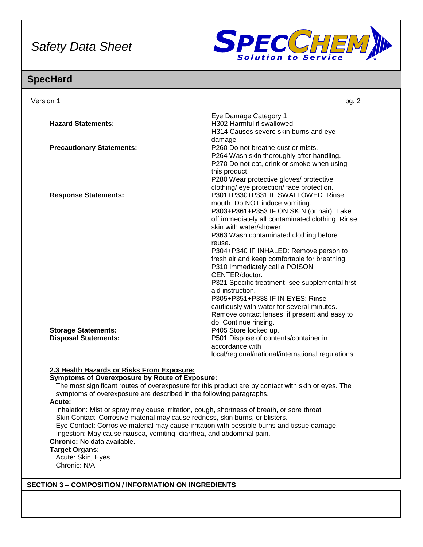

### **SpecHard**

| Version 1                                                 | pg. 2                                                                                                                                                                                            |
|-----------------------------------------------------------|--------------------------------------------------------------------------------------------------------------------------------------------------------------------------------------------------|
| <b>Hazard Statements:</b>                                 | Eye Damage Category 1<br>H302 Harmful if swallowed<br>H314 Causes severe skin burns and eye                                                                                                      |
| <b>Precautionary Statements:</b>                          | damage<br>P260 Do not breathe dust or mists.<br>P264 Wash skin thoroughly after handling.<br>P270 Do not eat, drink or smoke when using                                                          |
|                                                           | this product.<br>P280 Wear protective gloves/ protective<br>clothing/ eye protection/ face protection.                                                                                           |
| <b>Response Statements:</b>                               | P301+P330+P331 IF SWALLOWED: Rinse<br>mouth. Do NOT induce vomiting.<br>P303+P361+P353 IF ON SKIN (or hair): Take<br>off immediately all contaminated clothing. Rinse<br>skin with water/shower. |
|                                                           | P363 Wash contaminated clothing before<br>reuse.<br>P304+P340 IF INHALED: Remove person to<br>fresh air and keep comfortable for breathing.                                                      |
|                                                           | P310 Immediately call a POISON<br>CENTER/doctor.<br>P321 Specific treatment -see supplemental first<br>aid instruction.                                                                          |
|                                                           | P305+P351+P338 IF IN EYES: Rinse<br>cautiously with water for several minutes.<br>Remove contact lenses, if present and easy to<br>do. Continue rinsing.                                         |
| <b>Storage Statements:</b><br><b>Disposal Statements:</b> | P405 Store locked up.<br>P501 Dispose of contents/container in<br>accordance with<br>local/regional/national/international regulations.                                                          |

### **2.3 Health Hazards or Risks From Exposure:**

#### **Symptoms of Overexposure by Route of Exposure:**

The most significant routes of overexposure for this product are by contact with skin or eyes. The symptoms of overexposure are described in the following paragraphs.

#### **Acute:**

Inhalation: Mist or spray may cause irritation, cough, shortness of breath, or sore throat Skin Contact: Corrosive material may cause redness, skin burns, or blisters. Eye Contact: Corrosive material may cause irritation with possible burns and tissue damage. Ingestion: May cause nausea, vomiting, diarrhea, and abdominal pain. **Chronic:** No data available.

#### **Target Organs:**

Acute: Skin, Eyes Chronic: N/A

#### **SECTION 3 – COMPOSITION / INFORMATION ON INGREDIENTS**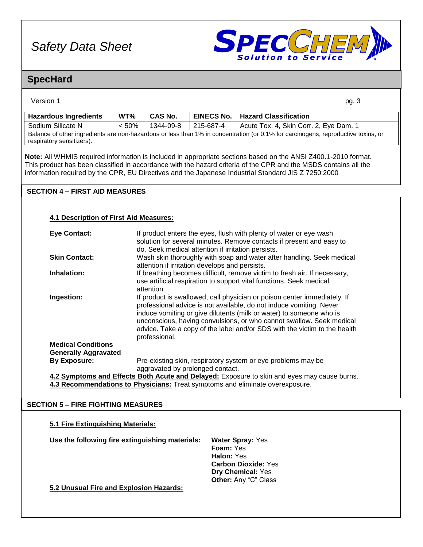

### **SpecHard**

| Version 1                                                                                                                                                      |       |                |                   | pg. 3                                  |
|----------------------------------------------------------------------------------------------------------------------------------------------------------------|-------|----------------|-------------------|----------------------------------------|
| <b>Hazardous Ingredients</b>                                                                                                                                   | WT%   | <b>CAS No.</b> | <b>EINECS No.</b> | <b>Hazard Classification</b>           |
| Sodium Silicate N                                                                                                                                              | < 50% | 1344-09-8      | 215-687-4         | Acute Tox. 4, Skin Corr. 2, Eye Dam. 1 |
| Balance of other ingredients are non-hazardous or less than 1% in concentration (or 0.1% for carcinogens, reproductive toxins, or<br>respiratory sensitizers). |       |                |                   |                                        |

**Note:** All WHMIS required information is included in appropriate sections based on the ANSI Z400.1-2010 format. This product has been classified in accordance with the hazard criteria of the CPR and the MSDS contains all the information required by the CPR, EU Directives and the Japanese Industrial Standard JIS Z 7250:2000

#### **SECTION 4 – FIRST AID MEASURES**

#### **4.1 Description of First Aid Measures:**

| <b>Eye Contact:</b>                                      | If product enters the eyes, flush with plenty of water or eye wash<br>solution for several minutes. Remove contacts if present and easy to<br>do. Seek medical attention if irritation persists.                                                                                                                                                                                             |
|----------------------------------------------------------|----------------------------------------------------------------------------------------------------------------------------------------------------------------------------------------------------------------------------------------------------------------------------------------------------------------------------------------------------------------------------------------------|
| <b>Skin Contact:</b>                                     | Wash skin thoroughly with soap and water after handling. Seek medical<br>attention if irritation develops and persists.                                                                                                                                                                                                                                                                      |
| Inhalation:                                              | If breathing becomes difficult, remove victim to fresh air. If necessary,<br>use artificial respiration to support vital functions. Seek medical<br>attention.                                                                                                                                                                                                                               |
| Ingestion:                                               | If product is swallowed, call physician or poison center immediately. If<br>professional advice is not available, do not induce vomiting. Never<br>induce vomiting or give dilutents (milk or water) to someone who is<br>unconscious, having convulsions, or who cannot swallow. Seek medical<br>advice. Take a copy of the label and/or SDS with the victim to the health<br>professional. |
| <b>Medical Conditions</b><br><b>Generally Aggravated</b> |                                                                                                                                                                                                                                                                                                                                                                                              |
| <b>By Exposure:</b>                                      | Pre-existing skin, respiratory system or eye problems may be<br>aggravated by prolonged contact.                                                                                                                                                                                                                                                                                             |
|                                                          | 1.2 Symptoms and Efforts Roth Acute and Delayed: Expecure to skip and over may cause burns                                                                                                                                                                                                                                                                                                   |

**4.2 Symptoms and Effects Both Acute and Delayed:** Exposure to skin and eyes may cause burns. **4.3 Recommendations to Physicians:** Treat symptoms and eliminate overexposure.

#### **SECTION 5 – FIRE FIGHTING MEASURES**

# **5.1 Fire Extinguishing Materials:**

**Use the following fire extinguishing materials: Water Spray:** Yes

**Foam:** Yes **Halon:** Yes **Carbon Dioxide:** Yes **Dry Chemical:** Yes **Other:** Any "C" Class

**5.2 Unusual Fire and Explosion Hazards:**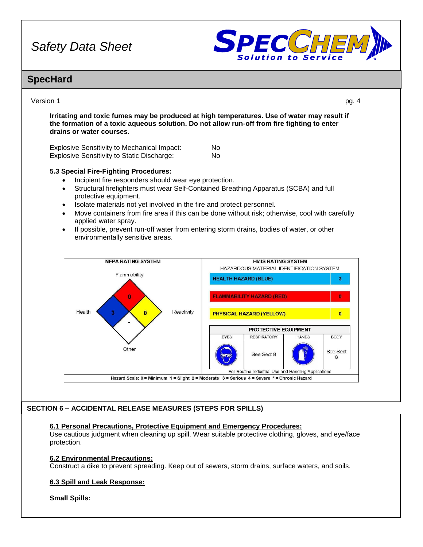

### **SpecHard**

| Version 1                                                                                                                                                                                                                                                                                                                     | pg. 4                                                                                                                                                                                                                                                                               |
|-------------------------------------------------------------------------------------------------------------------------------------------------------------------------------------------------------------------------------------------------------------------------------------------------------------------------------|-------------------------------------------------------------------------------------------------------------------------------------------------------------------------------------------------------------------------------------------------------------------------------------|
| Irritating and toxic fumes may be produced at high temperatures. Use of water may result if<br>the formation of a toxic aqueous solution. Do not allow run-off from fire fighting to enter<br>drains or water courses.                                                                                                        |                                                                                                                                                                                                                                                                                     |
| <b>Explosive Sensitivity to Mechanical Impact:</b><br><b>Explosive Sensitivity to Static Discharge:</b>                                                                                                                                                                                                                       | No<br>No                                                                                                                                                                                                                                                                            |
| 5.3 Special Fire-Fighting Procedures:<br>Incipient fire responders should wear eye protection.<br>$\bullet$<br>$\bullet$<br>protective equipment.<br>Isolate materials not yet involved in the fire and protect personnel.<br>$\bullet$<br>$\bullet$<br>applied water spray.<br>$\bullet$<br>environmentally sensitive areas. | Structural firefighters must wear Self-Contained Breathing Apparatus (SCBA) and full<br>Move containers from fire area if this can be done without risk; otherwise, cool with carefully<br>If possible, prevent run-off water from entering storm drains, bodies of water, or other |
|                                                                                                                                                                                                                                                                                                                               |                                                                                                                                                                                                                                                                                     |
| <b>NFPA RATING SYSTEM</b>                                                                                                                                                                                                                                                                                                     | <b>HMIS RATING SYSTEM</b><br>HAZARDOUS MATERIAL IDENTIFICATION SYSTEM                                                                                                                                                                                                               |
| Flammability                                                                                                                                                                                                                                                                                                                  | <b>HEALTH HAZARD (BLUE)</b><br>3                                                                                                                                                                                                                                                    |
|                                                                                                                                                                                                                                                                                                                               |                                                                                                                                                                                                                                                                                     |
| O<br>Reactivity<br>Health<br>3<br>$\overline{\mathbf{0}}$                                                                                                                                                                                                                                                                     | <b>FLAMMABILITY HAZARD (RED)</b><br>PHYSICAL HAZARD (YELLOW)<br>$\bf{0}$                                                                                                                                                                                                            |
|                                                                                                                                                                                                                                                                                                                               | <b>PROTECTIVE EQUIPMENT</b>                                                                                                                                                                                                                                                         |
| Other                                                                                                                                                                                                                                                                                                                         | <b>RESPIRATORY</b><br><b>BODY</b><br><b>EYES</b><br><b>HANDS</b><br>See Sect<br>See Sect 8<br>8<br>For Routine Industrial Use and Handling Applications                                                                                                                             |
|                                                                                                                                                                                                                                                                                                                               | Hazard Scale: 0 = Minimum 1 = Slight 2 = Moderate 3 = Serious 4 = Severe * = Chronic Hazard                                                                                                                                                                                         |
|                                                                                                                                                                                                                                                                                                                               |                                                                                                                                                                                                                                                                                     |
| <b>SECTION 6 - ACCIDENTAL RELEASE MEASURES (STEPS FOR SPILLS)</b>                                                                                                                                                                                                                                                             |                                                                                                                                                                                                                                                                                     |
| 6.1 Personal Precautions, Protective Equipment and Emergency Procedures:<br>protection.                                                                                                                                                                                                                                       | Use cautious judgment when cleaning up spill. Wear suitable protective clothing, gloves, and eye/face                                                                                                                                                                               |
| <b>6.2 Environmental Precautions:</b><br>Construct a dike to prevent spreading. Keep out of sewers, storm drains, surface waters, and soils.                                                                                                                                                                                  |                                                                                                                                                                                                                                                                                     |
| 6.3 Spill and Leak Response:                                                                                                                                                                                                                                                                                                  |                                                                                                                                                                                                                                                                                     |
| <b>Small Spills:</b>                                                                                                                                                                                                                                                                                                          |                                                                                                                                                                                                                                                                                     |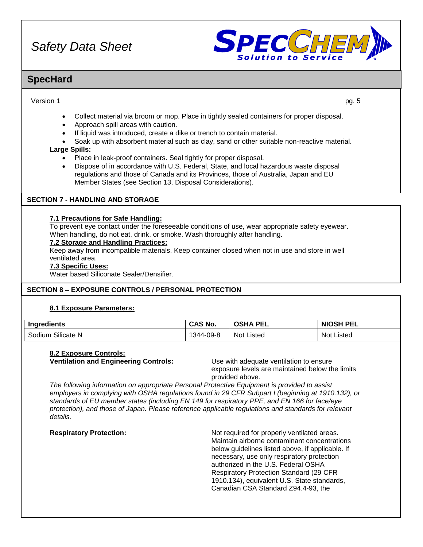

### **SpecHard**

#### Version 1 pg. 5

- Collect material via broom or mop. Place in tightly sealed containers for proper disposal.
- Approach spill areas with caution.
- If liquid was introduced, create a dike or trench to contain material.
- Soak up with absorbent material such as clay, sand or other suitable non-reactive material.

#### **Large Spills:**

- Place in leak-proof containers. Seal tightly for proper disposal.
- Dispose of in accordance with U.S. Federal, State, and local hazardous waste disposal regulations and those of Canada and its Provinces, those of Australia, Japan and EU Member States (see Section 13, Disposal Considerations).

### **SECTION 7 - HANDLING AND STORAGE**

#### **7.1 Precautions for Safe Handling:**

To prevent eye contact under the foreseeable conditions of use, wear appropriate safety eyewear. When handling, do not eat, drink, or smoke. Wash thoroughly after handling.

#### **7.2 Storage and Handling Practices:**

Keep away from incompatible materials. Keep container closed when not in use and store in well ventilated area.

#### **7.3 Specific Uses:**

Water based Siliconate Sealer/Densifier.

#### **SECTION 8 – EXPOSURE CONTROLS / PERSONAL PROTECTION**

#### **8.1 Exposure Parameters:**

| <b>Ingredients</b>         | <b>CAS No.</b> | <b>PEL</b><br>4Δ | <b>NIOSH</b><br><b>PEL</b> |
|----------------------------|----------------|------------------|----------------------------|
| ∼…<br>Silicate N<br>Sodium | I344-09-8      | Not L<br>Listed  | Not i<br>Listed            |

#### **8.2 Exposure Controls:**

**Ventilation and Engineering Controls:** Use with adequate ventilation to ensure

exposure levels are maintained below the limits provided above.

*The following information on appropriate Personal Protective Equipment is provided to assist employers in complying with OSHA regulations found in 29 CFR Subpart I (beginning at 1910.132), or standards of EU member states (including EN 149 for respiratory PPE, and EN 166 for face/eye protection), and those of Japan. Please reference applicable regulations and standards for relevant details.*

**Respiratory Protection:** Not required for properly ventilated areas. Maintain airborne contaminant concentrations below guidelines listed above, if applicable. If necessary, use only respiratory protection authorized in the U.S. Federal OSHA Respiratory Protection Standard (29 CFR 1910.134), equivalent U.S. State standards, Canadian CSA Standard Z94.4-93, the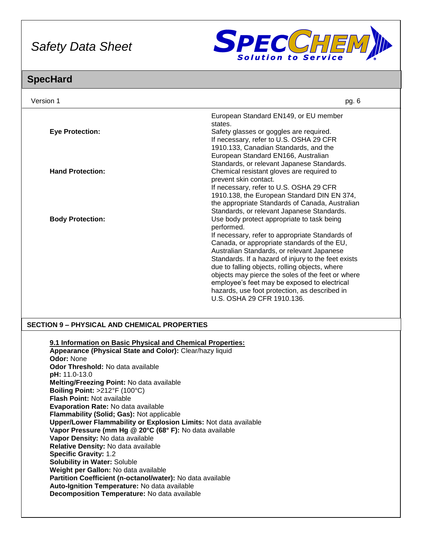

### **SpecHard**

| Version 1                                                                                                                                                                                                                                                                                                     | pg. 6                                                                                                                                                                                                                                                   |  |
|---------------------------------------------------------------------------------------------------------------------------------------------------------------------------------------------------------------------------------------------------------------------------------------------------------------|---------------------------------------------------------------------------------------------------------------------------------------------------------------------------------------------------------------------------------------------------------|--|
| <b>Eye Protection:</b>                                                                                                                                                                                                                                                                                        | European Standard EN149, or EU member<br>states.<br>Safety glasses or goggles are required.<br>If necessary, refer to U.S. OSHA 29 CFR<br>1910.133, Canadian Standards, and the                                                                         |  |
| <b>Hand Protection:</b>                                                                                                                                                                                                                                                                                       | European Standard EN166, Australian<br>Standards, or relevant Japanese Standards.<br>Chemical resistant gloves are required to<br>prevent skin contact.<br>If necessary, refer to U.S. OSHA 29 CFR<br>1910.138, the European Standard DIN EN 374,       |  |
| <b>Body Protection:</b>                                                                                                                                                                                                                                                                                       | the appropriate Standards of Canada, Australian<br>Standards, or relevant Japanese Standards.<br>Use body protect appropriate to task being<br>performed.<br>If necessary, refer to appropriate Standards of                                            |  |
|                                                                                                                                                                                                                                                                                                               | Canada, or appropriate standards of the EU,<br>Australian Standards, or relevant Japanese<br>Standards. If a hazard of injury to the feet exists<br>due to falling objects, rolling objects, where<br>objects may pierce the soles of the feet or where |  |
|                                                                                                                                                                                                                                                                                                               | employee's feet may be exposed to electrical<br>hazards, use foot protection, as described in<br>U.S. OSHA 29 CFR 1910.136.                                                                                                                             |  |
| <b>SECTION 9 - PHYSICAL AND CHEMICAL PROPERTIES</b>                                                                                                                                                                                                                                                           |                                                                                                                                                                                                                                                         |  |
| 9.1 Information on Basic Physical and Chemical Properties:<br>Appearance (Physical State and Color): Clear/hazy liquid<br><b>Odor: None</b><br>Odor Threshold: No data available<br>pH: 11.0-13.0<br>Melting/Freezing Point: No data available<br>Boiling Point: >212°F (100°C)<br>Flash Point: Not available |                                                                                                                                                                                                                                                         |  |
| Evanoration Pate: No data available                                                                                                                                                                                                                                                                           |                                                                                                                                                                                                                                                         |  |

**Evaporation Rate:** No data available **Flammability (Solid; Gas):** Not applicable

**Upper/Lower Flammability or Explosion Limits:** Not data available

**Vapor Pressure (mm Hg @ 20°C (68° F):** No data available

**Vapor Density:** No data available **Relative Density:** No data available

**Specific Gravity:** 1.2

**Solubility in Water:** Soluble

**Weight per Gallon:** No data available

**Partition Coefficient (n-octanol/water):** No data available

**Auto-Ignition Temperature:** No data available **Decomposition Temperature:** No data available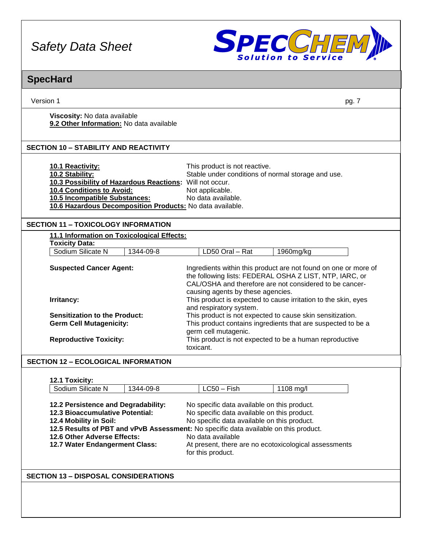

### Version 1 pg. 7 **SpecHard Viscosity:** No data available **9.2 Other Information:** No data available **10.1 Reactivity:** This product is not reactive. **10.2 Stability:** Stable under conditions of normal storage and use. **10.3 Possibility of Hazardous Reactions:** Will not occur. **10.4 Conditions to Avoid:** Not applicable. **10.5 Incompatible Substances:** No data available. **10.6 Hazardous Decomposition Products:** No data available. **11.1 Information on Toxicological Effects: Toxicity Data:** Sodium Silicate N 1344-09-8 LD50 Oral – Rat 1960mg/kg **Suspected Cancer Agent:** Ingredients within this product are not found on one or more of the following lists: FEDERAL OSHA Z LIST, NTP, IARC, or CAL/OSHA and therefore are not considered to be cancercausing agents by these agencies. **Irritancy: Irritancy: This product is expected to cause irritation to the skin, eyes** and respiratory system. **Sensitization to the Product:** This product is not expected to cause skin sensitization. **Germ Cell Mutagenicity:** This product contains ingredients that are suspected to be a germ cell mutagenic. **Reproductive Toxicity:** This product is not expected to be a human reproductive toxicant. **12.1 Toxicity:** Sodium Silicate N 1344-09-8 LC50 – Fish 1108 mg/l **12.2 Persistence and Degradability:** No specific data available on this product. **12.3 Bioaccumulative Potential:** No specific data available on this product. **12.4 Mobility in Soil:** No specific data available on this product. **SECTION 12 – ECOLOGICAL INFORMATION SECTION 11 – TOXICOLOGY INFORMATION SECTION 10 – STABILITY AND REACTIVITY**

**12.5 Results of PBT and vPvB Assessment:** No specific data available on this product. **12.6 Other Adverse Effects:** No data available **12.7 Water Endangerment Class:** At present, there are no ecotoxicological assessments for this product.

**SECTION 13 – DISPOSAL CONSIDERATIONS**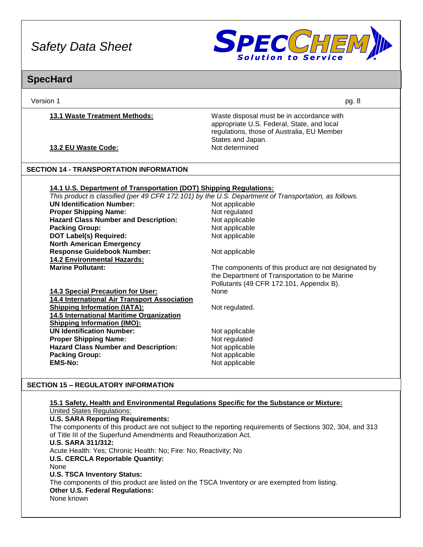

### **SpecHard**

Version 1 pg. 8

**13.1 Waste Treatment Methods:** Waste disposal must be in accordance with appropriate U.S. Federal, State, and local regulations, those of Australia, EU Member States and Japan.

**13.2 EU Waste Code:** Not determined

#### **SECTION 14 - TRANSPORTATION INFORMATION**

#### **14.1 U.S. Department of Transportation (DOT) Shipping Regulations:**

*This product is classified (per 49 CFR 172.101) by the U.S. Department of Transportation, as follows.*

| <b>UN Identification Number:</b>             | Not applicable                                       |
|----------------------------------------------|------------------------------------------------------|
| <b>Proper Shipping Name:</b>                 | Not regulated                                        |
| <b>Hazard Class Number and Description:</b>  | Not applicable                                       |
| <b>Packing Group:</b>                        | Not applicable                                       |
| <b>DOT Label(s) Required:</b>                | Not applicable                                       |
| <b>North American Emergency</b>              |                                                      |
| <b>Response Guidebook Number:</b>            | Not applicable                                       |
| <b>14.2 Environmental Hazards:</b>           |                                                      |
| <b>Marine Pollutant:</b>                     | The components of this product are not designated by |
|                                              | the Department of Transportation to be Marine        |
|                                              | Pollutants (49 CFR 172.101, Appendix B).             |
| <b>14.3 Special Precaution for User:</b>     | None                                                 |
| 14.4 International Air Transport Association |                                                      |
| <b>Shipping Information (IATA):</b>          | Not regulated.                                       |
| 14.5 International Maritime Organization     |                                                      |
| <b>Shipping Information (IMO):</b>           |                                                      |
| <b>UN Identification Number:</b>             | Not applicable                                       |
| <b>Proper Shipping Name:</b>                 | Not regulated                                        |
| <b>Hazard Class Number and Description:</b>  | Not applicable                                       |
| <b>Packing Group:</b>                        | Not applicable                                       |
| <b>EMS-No:</b>                               | Not applicable                                       |
|                                              |                                                      |

#### **SECTION 15 – REGULATORY INFORMATION**

#### **15.1 Safety, Health and Environmental Regulations Specific for the Substance or Mixture:** United States Regulations:

#### **U.S. SARA Reporting Requirements:**

The components of this product are not subject to the reporting requirements of Sections 302, 304, and 313 of Title III of the Superfund Amendments and Reauthorization Act. **U.S. SARA 311/312:** Acute Health: Yes; Chronic Health: No; Fire: No; Reactivity; No **U.S. CERCLA Reportable Quantity:** None **U.S. TSCA Inventory Status:** The components of this product are listed on the TSCA Inventory or are exempted from listing. **Other U.S. Federal Regulations:** None known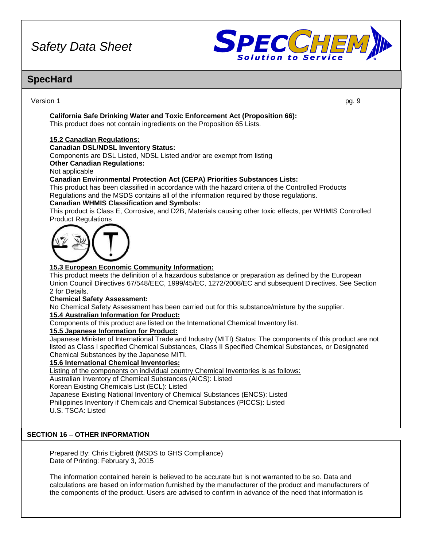

### **SpecHard**

Version 1 pg. 9 **California Safe Drinking Water and Toxic Enforcement Act (Proposition 66):** This product does not contain ingredients on the Proposition 65 Lists. **15.2 Canadian Regulations: Canadian DSL/NDSL Inventory Status:** Components are DSL Listed, NDSL Listed and/or are exempt from listing **Other Canadian Regulations:** Not applicable **Canadian Environmental Protection Act (CEPA) Priorities Substances Lists:** This product has been classified in accordance with the hazard criteria of the Controlled Products Regulations and the MSDS contains all of the information required by those regulations. **Canadian WHMIS Classification and Symbols:** This product is Class E, Corrosive, and D2B, Materials causing other toxic effects, per WHMIS Controlled Product Regulations **15.3 European Economic Community Information:** This product meets the definition of a hazardous substance or preparation as defined by the European Union Council Directives 67/548/EEC, 1999/45/EC, 1272/2008/EC and subsequent Directives. See Section 2 for Details. **Chemical Safety Assessment:** No Chemical Safety Assessment has been carried out for this substance/mixture by the supplier. **15.4 Australian Information for Product:** Components of this product are listed on the International Chemical Inventory list. **15.5 Japanese Information for Product:** Japanese Minister of International Trade and Industry (MITI) Status: The components of this product are not listed as Class I specified Chemical Substances, Class II Specified Chemical Substances, or Designated Chemical Substances by the Japanese MITI. **15.6 International Chemical Inventories:** Listing of the components on individual country Chemical Inventories is as follows: Australian Inventory of Chemical Substances (AICS): Listed Korean Existing Chemicals List (ECL): Listed Japanese Existing National Inventory of Chemical Substances (ENCS): Listed Philippines Inventory if Chemicals and Chemical Substances (PICCS): Listed U.S. TSCA: Listed Prepared By: Chris Eigbrett (MSDS to GHS Compliance) Date of Printing: February 3, 2015 **SECTION 16 – OTHER INFORMATION**

The information contained herein is believed to be accurate but is not warranted to be so. Data and calculations are based on information furnished by the manufacturer of the product and manufacturers of the components of the product. Users are advised to confirm in advance of the need that information is